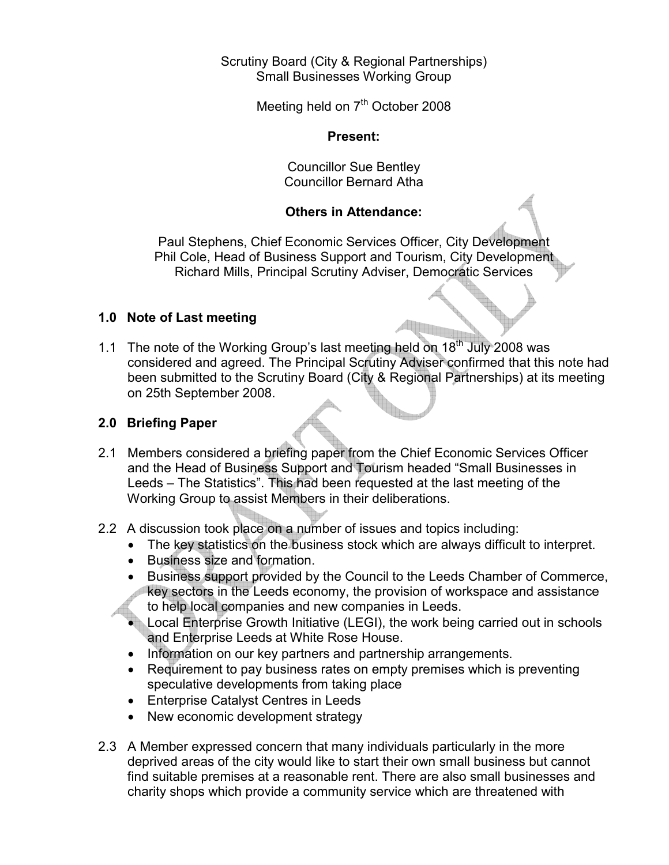### Scrutiny Board (City & Regional Partnerships) Small Businesses Working Group

Meeting held on  $7<sup>th</sup>$  October 2008

### Present:

Councillor Sue Bentley Councillor Bernard Atha

## Others in Attendance:

Paul Stephens, Chief Economic Services Officer, City Development Phil Cole, Head of Business Support and Tourism, City Development Richard Mills, Principal Scrutiny Adviser, Democratic Services

# 1.0 Note of Last meeting

1.1 The note of the Working Group's last meeting held on  $18<sup>th</sup>$  July 2008 was considered and agreed. The Principal Scrutiny Adviser confirmed that this note had been submitted to the Scrutiny Board (City & Regional Partnerships) at its meeting on 25th September 2008.

## 2.0 Briefing Paper

- 2.1 Members considered a briefing paper from the Chief Economic Services Officer and the Head of Business Support and Tourism headed "Small Businesses in Leeds – The Statistics". This had been requested at the last meeting of the Working Group to assist Members in their deliberations.
- 2.2 A discussion took place on a number of issues and topics including:
	- The key statistics on the business stock which are always difficult to interpret.
	- Business size and formation.
	- Business support provided by the Council to the Leeds Chamber of Commerce, key sectors in the Leeds economy, the provision of workspace and assistance to help local companies and new companies in Leeds.
	- Local Enterprise Growth Initiative (LEGI), the work being carried out in schools and Enterprise Leeds at White Rose House.
	- Information on our key partners and partnership arrangements.
	- Requirement to pay business rates on empty premises which is preventing speculative developments from taking place
	- Enterprise Catalyst Centres in Leeds
	- New economic development strategy
- 2.3 A Member expressed concern that many individuals particularly in the more deprived areas of the city would like to start their own small business but cannot find suitable premises at a reasonable rent. There are also small businesses and charity shops which provide a community service which are threatened with